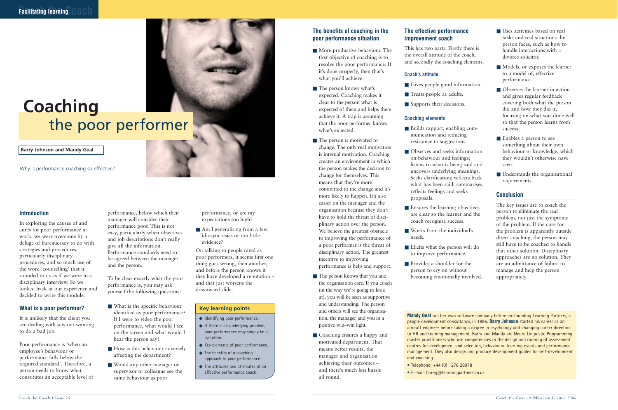#### **The benefits of coaching in the poor performance situation**

- More productive behaviour. The first objective of coaching is to resolve the poor performance. If it's done properly, then that's what you'll achieve.
- The person knows what's expected. Coaching makes it clear to the person what is expected of them and helps them achieve it. A trap is assuming that the poor performer knows what's expected.
- The person is motivated to change. The only real motivation is internal motivation. Coaching creates an environment in which the person makes the decision to change for themselves. This means that they're more committed to the change and it's more likely to happen. It's also easier on the manager and the organisation because they don't have to hold the threat of disciplinary action over the person. We believe the greatest obstacle to improving the performance of a poor performer is the threat of disciplinary action. The greatest incentive to improving performance is help and support.
- The person knows that you and the organisation care. If you coach (in the way we're going to look at), you will be seen as supportive and understanding. The person and others will see the organisation, the manager and you in a positive win–win light.
- Coaching ensures a happy and motivated department. That means better results, the manager and organisation achieving their outcomes – and there's much less hassle all round.
- Builds rapport, enabling communication and reducing resistance to suggestions.
- Observes and seeks information on behaviour and feelings; listens to what is being said and uncovers underlying meanings. Seeks clarification; reflects back what has been said, summarises, reflects feelings and seeks proposals.
- Ensures the learning objectives are clear so the learner and the coach recognise success.
- Works from the individual's needs.
- Elicits what the person will do to improve performance.
- Provides a shoulder for the person to cry on without becoming emotionally involved.
- Uses activities based on real tasks and real situations the person faces, such as how to handle interactions with a divorce solicitor.
- Models, or exposes the learner to a model of, effective performance.
- Observes the learner in action and gives regular feedback covering both what the person did and how they did it, focusing on what was done well so that the person learns from success.
- Enables a person to see something about their own behaviour or knowledge, which they wouldn't otherwise have seen.
- Understands the organisational requirements.

### **The effective performance improvement coach**

This has two parts. Firstly there is the overall attitude of the coach, and secondly the coaching elements.

#### **Coach's attitude**

- Gives people good information.
- Treats people as adults.
- Supports their decisions.

#### **Coaching elements**

- What is the specific behaviour identified as poor performance? If I were to video the poor performance, what would I see on the screen and what would I hear the person say?
- How is this behaviour adversely affecting the department?
- Would any other manager or supervisor or colleague see the same behaviour as poor

■ Am I generalising from a few idiosyncrasies or too little evidence?

#### **Conclusion**

- ◆ Identifying poor performance.
- $\blacklozenge$  If there is an underlying problem, poor performance may simply be a symptom.
- ◆ Key elements of poor performance.
- ◆ The benefits of a coaching approach to poor performance.
- ◆ The attitudes and attributes of an effective performance coach.

The key issues are to coach the person to eliminate the real problem, not just the symptoms of the problem. If the cure for the problem is apparently outside direct coaching, the person may still have to be coached to handle that other solution. Disciplinary approaches are no solution. They are an admittance of failure to manage and help the person appropriately.



## the poor performer **Coaching**

#### **Introduction**

In exploring the causes of and cures for poor performance at work, we were overcome by a deluge of bureaucracy to do with strategies and procedures, particularly disciplinary procedures, and so much use of the word 'counselling' that it sounded to us as if we were in a disciplinary interview. So we looked back at our experience and decided to write this module.

#### **What is a poor performer?**

It is unlikely that the client you are dealing with sets out wanting to do a bad job.

Poor performance is 'when an employee's behaviour or performance falls below the required standard'. Therefore, a person needs to know what constitutes an acceptable level of performance, below which their manager will consider their performance poor. This is not easy, particularly when objectives and job descriptions don't really give all the information. Performance standards need to be agreed between the manager and the person.

To be clear exactly what the poor performance is, you may ask yourself the following questions:

performance, or are my expectations too high?

On talking to people rated as poor performers, it seems first one thing goes wrong, then another, and before the person knows it they have developed a reputation – and that just worsens the downward slide.

**Barry Johnson and Mandy Geal**

**Mandy Geal** ran her own software company before co-founding Learning Partners, a people development consultancy, in 1995. **Barry Johnson** started his career as an aircraft engineer before taking a degree in psychology and changing career direction to HR and training management. Barry and Mandy are Neuro Linguistic Programming master practitioners who use competencies in the design and running of assessment centres for development and selection, behavioural learning events and performance management. They also design and produce development guides for self-development and coaching.

- Telephone: +44 (0) 1276 29978
- E-mail: barryj@learningpartners.co.uk

Why is performance coaching so effective?

#### **Key learning points**